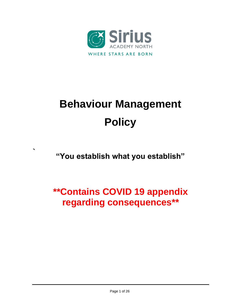

# **Behaviour Management Policy**

## **"You establish what you establish"**

**`**

# **\*\*Contains COVID 19 appendix regarding consequences\*\***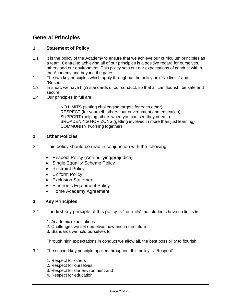#### **General Principles**

#### **1 Statement of Policy**

- 1.1 It is the policy of the Academy to ensure that we achieve our curriculum principles as a team. Central to achieving all of our principles is a positive regard for ourselves, others and our environment. This policy sets out our expectations of conduct within the Academy and beyond the gates.
- 1.2 The two key principles which apply throughout the policy are "No limits" and "Respect".
- 1.3 In short, we have high standards of our conduct, so that all can flourish, be safe and secure.
- 1.4 Our principles in full are:

NO LIMITS (setting challenging targets for each other) RESPECT (for yourself, others, our environment and education) SUPPORT (helping others when you can see they need it) BROADENING HORIZONS (getting involved in more than just learning) COMMUNITY (working together)

#### **2 Other Policies**

- 2.1 This policy should be read in conjunction with the following:
	- Respect Policy (Anti-bullying/prejudice)
	- Single Equality Scheme Policy
	- Restraint Policy
	- Uniform Policy
	- Exclusion Statement
	- Electronic Equipment Policy
	- Home Academy Agreement

#### **3 Key Principles**

- 3.1 The first key principle of this policy is "no limits" that students have no limits in:
	- 1. Academic expectations
	- 2. Challenges we set ourselves now and in the future
	- 3. Standards we hold ourselves to

Through high expectations in conduct we allow all, the best possibility to flourish

- 3.2 The second key principle applied throughout this policy is "Respect"
	- 1. Respect for others
	- 2. Respect for ourselves
	- 3. Respect for our environment and
	- 4. Respect for education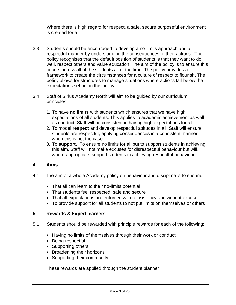Where there is high regard for respect, a safe, secure purposeful environment is created for all.

- 3.3 Students should be encouraged to develop a no-limits approach and a respectful manner by understanding the consequences of their actions. The policy recognises that the default position of students is that they want to do well, respect others and value education. The aim of the policy is to ensure this occurs across all of the students all of the time. The policy provides a framework to create the circumstances for a culture of respect to flourish. The policy allows for structures to manage situations where actions fall below the expectations set out in this policy.
- 3.4 Staff of Sirius Academy North will aim to be guided by our curriculum principles.
	- 1. To have **no limits** with students which ensures that we have high expectations of all students. This applies to academic achievement as well as conduct. Staff will be consistent in having high expectations for all.
	- 2. To model **respect** and develop respectful attitudes in all. Staff will ensure students are respectful, applying consequences in a consistent manner when this is not the case.
	- 3. To **support.** To ensure no limits for all but to support students in achieving this aim. Staff will not make excuses for disrespectful behaviour but will, where appropriate, support students in achieving respectful behaviour.

#### **4 Aims**

- 4.1 The aim of a whole Academy policy on behaviour and discipline is to ensure:
	- That all can learn to their no-limits potential
	- That students feel respected, safe and secure
	- That all expectations are enforced with consistency and without excuse
	- To provide support for all students to not put limits on themselves or others

#### **5 Rewards & Expert learners**

- 5.1 Students should be rewarded with principle rewards for each of the following:
	- Having no limits of themselves through their work or conduct.
	- Being respectful
	- Supporting others
	- Broadening their horizons
	- Supporting their community

These rewards are applied through the student planner.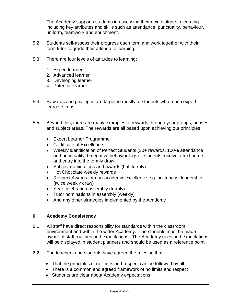The Academy supports students in assessing their own attitude to learning including key attributes and skills such as attendance, punctuality, behaviour, uniform, teamwork and enrichment.

- 5.2 Students self-assess their progress each term and work together with their form tutor to grade their attitude to learning.
- 5.3 There are four levels of attitudes to learning:
	- 1. Expert learner
	- 2. Advanced learner
	- 3. Developing learner
	- 4. Potential learner
- 5.4 Rewards and privileges are targeted mostly at students who reach expert learner status.
- 5.5 Beyond this, there are many examples of rewards through year groups, houses and subject areas. The rewards are all based upon achieving our principles.
	- Expert Learner Programme
	- Certificate of Excellence
	- Weekly identification of Perfect Students (30+ rewards, 100% attendance and punctuality, 0 negative behavior logs) – students receive a text home and entry into the termly draw
	- Subject nominations and awards (half termly)
	- Hot Chocolate weekly rewards
	- Respect Awards for non-academic excellence e.g. politeness, leadership (twice weekly draw)
	- Year celebration assembly (termly)
	- Tutor nominations in assembly (weekly)
	- And any other strategies implemented by the Academy

#### **6 Academy Consistency**

- 6.1 All staff have direct responsibility for standards within the classroom environment and within the wider Academy. The students must be made aware of staff routines and expectations. The Academy rules and expectations will be displayed in student planners and should be used as a reference point.
- 6.2 The teachers and students have agreed the rules so that:
	- That the principles of no limits and respect can be followed by all
	- There is a common and agreed framework of no limits and respect
	- Students are clear about Academy expectations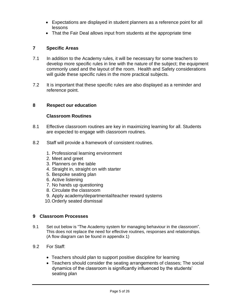- Expectations are displayed in student planners as a reference point for all lessons
- That the Fair Deal allows input from students at the appropriate time

#### **7 Specific Areas**

- 7.1 In addition to the Academy rules, it will be necessary for some teachers to develop more specific rules in line with the nature of the subject; the equipment commonly used and the layout of the room. Health and Safety considerations will quide these specific rules in the more practical subjects.
- 7.2 It is important that these specific rules are also displayed as a reminder and reference point.

#### **8 Respect our education**

#### **Classroom Routines**

- 8.1 Effective classroom routines are key in maximizing learning for all. Students are expected to engage with classroom routines.
- 8.2 Staff will provide a framework of consistent routines.
	- 1. Professional learning environment
	- 2. Meet and greet
	- 3. Planners on the table
	- 4. Straight in, straight on with starter
	- 5. Bespoke seating plan
	- 6. Active listening
	- 7. No hands up questioning
	- 8. Circulate the classroom
	- 9. Apply academy/departmental/teacher reward systems
	- 10.Orderly seated dismissal

#### **9 Classroom Processes**

- 9.1 Set out below is "The Academy system for managing behaviour in the classroom". This does not replace the need for effective routines, responses and relationships. (A flow diagram can be found in appendix 1)
- 9.2 For Staff:
	- Teachers should plan to support positive discipline for learning
	- Teachers should consider the seating arrangements of classes; The social dynamics of the classroom is significantly influenced by the students' seating plan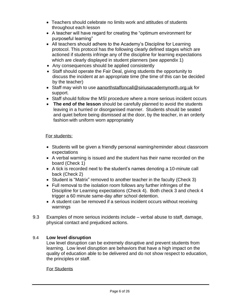- Teachers should celebrate no limits work and attitudes of students throughout each lesson
- A teacher will have regard for creating the "optimum environment for purposeful learning"
- All teachers should adhere to the Academy's Discipline for Learning protocol. This protocol has the following clearly defined stages which are actioned if students infringe any of the discipline for learning expectations which are clearly displayed in student planners (see appendix 1)
- Any consequences should be applied consistently
- Staff should operate the Fair Deal, giving students the opportunity to discuss the incident at an appropriate time (the time of this can be decided by the teacher)
- Staff may wish to use [aanorthstaffoncall@siriusacademynorth.org.uk](mailto:aanorthstaffoncall@siriusacademynorth.org.uk) for support.
- Staff should follow the MSI procedure where a more serious incident occurs
- **The end of the lesson** should be carefully planned to avoid the students leaving in a hurried or disorganised manner. Students should be seated and quiet before being dismissed at the door, by the teacher, in an orderly fashion with uniform worn appropriately

#### For students:

- Students will be given a friendly personal warning/reminder about classroom expectations
- A verbal warning is issued and the student has their name recorded on the board (Check 1)
- A tick is recorded next to the student's names denoting a 10-minute call back (Check 2)
- Student is "Matrix" removed to another teacher in the faculty (Check 3)
- Full removal to the isolation room follows any further infringes of the Discipline for Learning expectations (Check 4). Both check 3 and check 4 trigger a 60 minute same-day after school detention.
- A student can be removed if a serious incident occurs without receiving warnings
- 9.3 Examples of more serious incidents include verbal abuse to staff, damage, physical contact and prejudiced actions.

#### 9.4 **Low level disruption**

Low level disruption can be extremely disruptive and prevent students from learning. Low level disruption are behaviors that have a high impact on the quality of education able to be delivered and do not show respect to education, the principles or staff.

#### For Students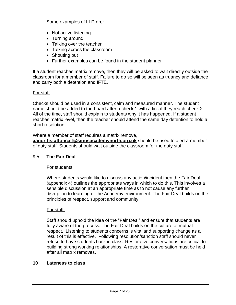Some examples of LLD are:

- Not active listening
- Turning around
- Talking over the teacher
- Talking across the classroom
- Shouting out
- Further examples can be found in the student planner

If a student reaches matrix remove, then they will be asked to wait directly outside the classroom for a member of staff. Failure to do so will be seen as truancy and defiance and carry both a detention and IFTE.

#### For staff

Checks should be used in a consistent, calm and measured manner. The student name should be added to the board after a check 1 with a tick if they reach check 2. All of the time, staff should explain to students why it has happened. If a student reaches matrix level, then the teacher should attend the same day detention to hold a short resolution.

Where a member of staff requires a matrix remove,

**[aanorthstaffoncall@siriusacademynorth.org.uk](mailto:aanorthstaffoncall@siriusacademynorth.org.uk)** should be used to alert a member of duty staff. Students should wait outside the classroom for the duty staff.

#### 9.5 **The Fair Deal**

For students:

Where students would like to discuss any action/incident then the Fair Deal (appendix 4) outlines the appropriate ways in which to do this. This involves a sensible discussion at an appropriate time as to not cause any further disruption to learning or the Academy environment. The Fair Deal builds on the principles of respect, support and community.

#### For staff:

Staff should uphold the idea of the "Fair Deal" and ensure that students are fully aware of the process. The Fair Deal builds on the culture of mutual respect. Listening to students concerns is vital and supporting change as a result of this is effective. Following resolution/sanction staff should never refuse to have students back in class. Restorative conversations are critical to building strong working relationships. A restorative conversation must be held after all matrix removes.

#### **10 Lateness to class**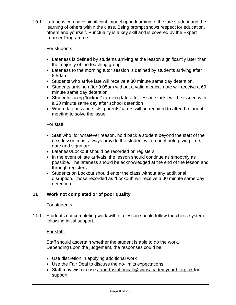10.1 Lateness can have significant impact upon learning of the late student and the learning of others within the class. Being prompt shows respect for education, others and yourself. Punctuality is a key skill and is covered by the Expert Learner Programme.

#### For students:

- Lateness is defined by students arriving at the lesson significantly later than the majority of the teaching group
- Lateness to the morning tutor session is defined by students arriving after 8.50am
- Students who arrive late will receive a 30 minute same day detention.
- Students arriving after 9:05am without a valid medical note will receive a 60 minute same day detention
- Students facing 'lockout' (arriving late after lesson starts) will be issued with a 30 minute same day after school detention
- Where lateness persists, parents/carers will be required to attend a formal meeting to solve the issue

#### For staff:

- Staff who, for whatever reason, hold back a student beyond the start of the next lesson must always provide the student with a brief note giving time, date and signature
- Lateness/Lockout should be recorded on registers
- In the event of late arrivals, the lesson should continue as smoothly as possible. The lateness should be acknowledged at the end of the lesson and through registers
- Students on Lockout should enter the class without any additional disruption. Those recorded as "Lockout" will receive a 30 minute same day detention

#### **11 Work not completed or of poor quality**

#### For students:

11.1 Students not completing work within a lesson should follow the check system following initial support.

#### For staff:

Staff should ascertain whether the student is able to do the work. Depending upon the judgement, the responses could be:

- Use discretion in applying additional work
- Use the Fair Deal to discuss the no-limits expectations
- Staff may wish to use [aanorthstaffoncall@siriusacademynorth.org.uk](mailto:aanorthstaffoncall@siriusacademynorth.org.uk) for support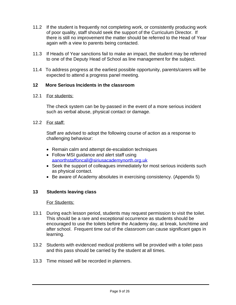- 11.2 If the student is frequently not completing work, or consistently producing work of poor quality, staff should seek the support of the Curriculum Director. If there is still no improvement the matter should be referred to the Head of Year again with a view to parents being contacted.
- 11.3 If Heads of Year sanctions fail to make an impact, the student may be referred to one of the Deputy Head of School as line management for the subject.
- 11.4 To address progress at the earliest possible opportunity, parents/carers will be expected to attend a progress panel meeting.

#### **12 More Serious Incidents in the classroom**

#### 12.1 For students:

The check system can be by-passed in the event of a more serious incident such as verbal abuse, physical contact or damage.

#### 12.2 For staff:

Staff are advised to adopt the following course of action as a response to challenging behaviour:

- Remain calm and attempt de-escalation techniques
- Follow MSI guidance and alert staff using [aanorthstaffoncall@siriusacademynorth.org.uk](mailto:aanorthstaffoncall@siriusacademynorth.org.uk)
- Seek the support of colleagues immediately for most serious incidents such as physical contact.
- Be aware of Academy absolutes in exercising consistency. (Appendix 5)

#### **13 Students leaving class**

#### For Students:

- 13.1 During each lesson period, students may request permission to visit the toilet. This should be a rare and exceptional occurrence as students should be encouraged to use the toilets before the Academy day, at break, lunchtime and after school. Frequent time out of the classroom can cause significant gaps in learning.
- 13.2 Students with evidenced medical problems will be provided with a toilet pass and this pass should be carried by the student at all times.
- 13.3 Time missed will be recorded in planners.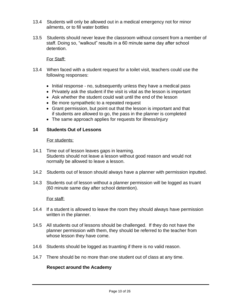- 13.4 Students will only be allowed out in a medical emergency not for minor ailments, or to fill water bottles
- 13.5 Students should never leave the classroom without consent from a member of staff. Doing so, "walkout" results in a 60 minute same day after school detention.

#### For Staff:

- 13.4 When faced with a student request for a toilet visit, teachers could use the following responses:
	- Initial response no, subsequently unless they have a medical pass
	- Privately ask the student if the visit is vital as the lesson is important
	- Ask whether the student could wait until the end of the lesson
	- Be more sympathetic to a repeated request
	- Grant permission, but point out that the lesson is important and that if students are allowed to go, the pass in the planner is completed
	- The same approach applies for requests for illness/injury

#### **14 Students Out of Lessons**

#### For students:

- 14.1 Time out of lesson leaves gaps in learning. Students should not leave a lesson without good reason and would not normally be allowed to leave a lesson.
- 14.2 Students out of lesson should always have a planner with permission inputted.
- 14.3 Students out of lesson without a planner permission will be logged as truant (60 minute same day after school detention).

#### For staff:

- 14.4 If a student is allowed to leave the room they should always have permission written in the planner.
- 14.5 All students out of lessons should be challenged. If they do not have the planner permission with them, they should be referred to the teacher from whose lesson they have come.
- 14.6 Students should be logged as truanting if there is no valid reason.
- 14.7 There should be no more than one student out of class at any time.

#### **Respect around the Academy**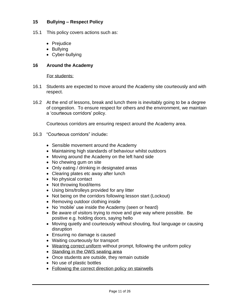#### **15 Bullying – Respect Policy**

- 15.1 This policy covers actions such as:
	- Prejudice
	- Bullying
	- Cyber-bullying

#### **16 Around the Academy**

For students:

- 16.1 Students are expected to move around the Academy site courteously and with respect.
- 16.2 At the end of lessons, break and lunch there is inevitably going to be a degree of congestion. To ensure respect for others and the environment, we maintain a 'courteous corridors' policy.

Courteous corridors are ensuring respect around the Academy area.

- 16.3 "Courteous corridors" include**:** 
	- Sensible movement around the Academy
	- Maintaining high standards of behaviour whilst outdoors
	- Moving around the Academy on the left hand side
	- No chewing gum on site
	- Only eating / drinking in designated areas
	- Clearing plates etc away after lunch
	- No physical contact
	- Not throwing food/items
	- Using bins/trolleys provided for any litter
	- Not being on the corridors following lesson start (Lockout)
	- Removing outdoor clothing inside
	- No 'mobile' use inside the Academy (seen or heard)
	- Be aware of visitors trying to move and give way where possible. Be positive e.g. holding doors, saying hello
	- Moving quietly and courteously without shouting, foul language or causing disruption
	- Ensuring no damage is caused
	- Waiting courteously for transport
	- Wearing correct uniform without prompt, following the uniform policy
	- Standing in the OWS seating area
	- Once students are outside, they remain outside
	- No use of plastic bottles
	- Following the correct direction policy on stairwells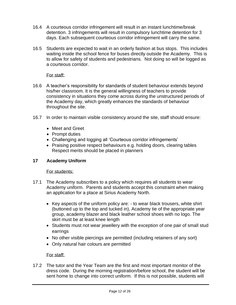- 16.4 A courteous corridor infringement will result in an instant lunchtime/break detention. 3 infringements will result in compulsory lunchtime detention for 3 days. Each subsequent courteous corridor infringement will carry the same.
- 16.5 Students are expected to wait in an orderly fashion at bus stops. This includes waiting inside the school fence for buses directly outside the Academy. This is to allow for safety of students and pedestrians. Not doing so will be logged as a courteous corridor.

#### For staff:

- 16.6 A teacher's responsibility for standards of student behaviour extends beyond his/her classroom. It is the general willingness of teachers to provide consistency in situations they come across during the unstructured periods of the Academy day, which greatly enhances the standards of behaviour throughout the site.
- 16.7 In order to maintain visible consistency around the site, staff should ensure:
	- Meet and Greet
	- Prompt duties
	- Challenging and logging all 'Courteous corridor infringements'
	- Praising positive respect behaviours e.g. holding doors, clearing tables Respect merits should be placed in planners

#### **17 Academy Uniform**

#### For students:

- 17.1 The Academy subscribes to a policy which requires all students to wear Academy uniform. Parents and students accept this constraint when making an application for a place at Sirius Academy North.
	- Key aspects of the uniform policy are: to wear black trousers, white shirt (buttoned up to the top and tucked in), Academy tie of the appropriate year group, academy blazer and black leather school shoes with no logo. The skirt must be at least knee length
	- Students must not wear jewellery with the exception of one pair of small stud earrings
	- No other visible piercings are permitted (including retainers of any sort)
	- Only natural hair colours are permitted

#### For staff:

17.2 The tutor and the Year Team are the first and most important monitor of the dress code. During the morning registration/before school, the student will be sent home to change into correct uniform. If this is not possible, students will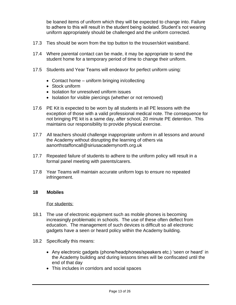be loaned items of uniform which they will be expected to change into. Failure to adhere to this will result in the student being isolated. Student's not wearing uniform appropriately should be challenged and the uniform corrected.

- 17.3 Ties should be worn from the top button to the trouser/skirt waistband.
- 17.4 Where parental contact can be made, it may be appropriate to send the student home for a temporary period of time to change their uniform.
- 17.5 Students and Year Teams will endeavor for perfect uniform using:
	- Contact home uniform bringing in/collecting
	- Stock uniform
	- Isolation for unresolved uniform issues
	- Isolation for visible piercings (whether or not removed)
- 17.6 PE Kit is expected to be worn by all students in all PE lessons with the exception of those with a valid professional medical note. The consequence for not bringing PE kit is a same day, after school, 20 minute PE detention. This maintains our responsibility to provide physical exercise.
- 17.7 All teachers should challenge inappropriate uniform in all lessons and around the Academy without disrupting the learning of others via aanorthstaffoncall@siriusacademynorth.org.uk
- 17.7 Repeated failure of students to adhere to the uniform policy will result in a formal panel meeting with parents/carers.
- 17.8 Year Teams will maintain accurate uniform logs to ensure no repeated infringement.

#### **18 Mobiles**

#### For students:

- 18.1 The use of electronic equipment such as mobile phones is becoming increasingly problematic in schools. The use of these often deflect from education. The management of such devices is difficult so all electronic gadgets have a seen or heard policy within the Academy building.
- 18.2 Specifically this means:
	- Any electronic gadgets (phone/headphones/speakers etc.) 'seen or heard' in the Academy building and during lessons times will be confiscated until the end of that day
	- This includes in corridors and social spaces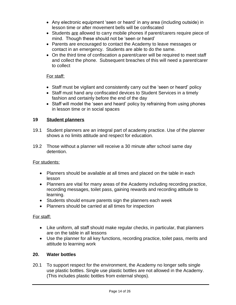- Any electronic equipment 'seen or heard' in any area (including outside) in lesson time or after movement bells will be confiscated
- Students are allowed to carry mobile phones if parent/carers require piece of mind. Though these should not be 'seen or heard'
- Parents are encouraged to contact the Academy to leave messages or contact in an emergency. Students are able to do the same.
- On the third time of confiscation a parent/carer will be required to meet staff and collect the phone. Subsequent breaches of this will need a parent/carer to collect

#### For staff:

- Staff must be vigilant and consistently carry out the 'seen or heard' policy
- Staff must hand any confiscated devices to Student Services in a timely fashion and certainly before the end of the day
- Staff will model the 'seen and heard' policy by refraining from using phones in lesson time or in social spaces

#### **19 Student planners**

- 19.1 Student planners are an integral part of academy practice. Use of the planner shows a no limits attitude and respect for education.
- 19.2 Those without a planner will receive a 30 minute after school same day detention.

#### For students:

- Planners should be available at all times and placed on the table in each lesson
- Planners are vital for many areas of the Academy including recording practice, recording messages, toilet pass, gaining rewards and recording attitude to learning.
- Students should ensure parents sign the planners each week
- Planners should be carried at all times for inspection

#### For staff:

- Like uniform, all staff should make regular checks, in particular, that planners are on the table in all lessons
- Use the planner for all key functions, recording practice, toilet pass, merits and attitude to learning work

#### **20. Water bottles**

20.1 To support respect for the environment, the Academy no longer sells single use plastic bottles. Single use plastic bottles are not allowed in the Academy. (This includes plastic bottles from external shops).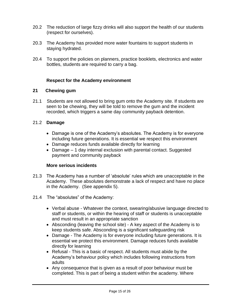- 20.2 The reduction of large fizzy drinks will also support the health of our students (respect for ourselves).
- 20.3 The Academy has provided more water fountains to support students in staying hydrated.
- 20.4 To support the policies on planners, practice booklets, electronics and water bottles, students are required to carry a bag.

#### **Respect for the Academy environment**

#### **21 Chewing gum**

21.1 Students are not allowed to bring gum onto the Academy site. If students are seen to be chewing, they will be told to remove the gum and the incident recorded, which triggers a same day community payback detention.

#### 21.2 **Damage**

- Damage is one of the Academy's absolutes. The Academy is for everyone including future generations. It is essential we respect this environment
- Damage reduces funds available directly for learning
- Damage 1 day internal exclusion with parental contact. Suggested payment and community payback

#### **More serious incidents**

- 21.3 The Academy has a number of 'absolute' rules which are unacceptable in the Academy. These absolutes demonstrate a lack of respect and have no place in the Academy. (See appendix 5).
- 21.4 The "absolutes" of the Academy:
	- Verbal abuse Whatever the context, swearing/abusive language directed to staff or students, or within the hearing of staff or students is unacceptable and must result in an appropriate sanction
	- Absconding (leaving the school site) A key aspect of the Academy is to keep students safe. Absconding is a significant safeguarding risk
	- Damage The Academy is for everyone including future generations. It is essential we protect this environment. Damage reduces funds available directly for learning
	- Refusal This is a basic of respect. All students must abide by the Academy's behaviour policy which includes following instructions from adults
	- Any consequence that is given as a result of poor behaviour must be completed. This is part of being a student within the academy. Where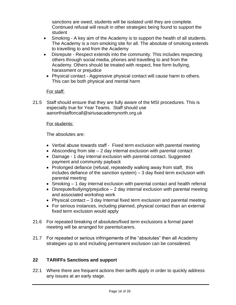sanctions are owed, students will be isolated until they are complete. Continued refusal will result in other strategies being found to support the student

- Smoking A key aim of the Academy is to support the health of all students. The Academy is a non-smoking site for all. The absolute of smoking extends to travelling to and from the Academy
- Disrepute Respect extends into the community. This includes respecting others through social media, phones and travelling to and from the Academy. Others should be treated with respect, free form bullying, harassment or prejudice
	- Physical contact Aggressive physical contact will cause harm to others. This can be both physical and mental harm

#### For staff:

21.5 Staff should ensure that they are fully aware of the MSI procedures. This is especially true for Year Teams. Staff should use aanorthstaffoncall@siriusacademynorth.org.uk

#### For students:

The absolutes are:

- Verbal abuse towards staff Fixed term exclusion with parental meeting
- Absconding from site  $-2$  day internal exclusion with parental contact
- Damage 1 day internal exclusion with parental contact. Suggested payment and community payback
- Prolonged defiance (refusal, repeatedly walking away from staff, this includes defiance of the sanction system) – 3 day fixed term exclusion with parental meeting
- Smoking 1 day internal exclusion with parental contact and health referral
- Disrepute/bullying/prejudice  $-2$  day internal exclusion with parental meeting and associated workshop work
- Physical contact 3 day Internal fixed term exclusion and parental meeting.
- For serious instances, including planned, physical contact than an external fixed term exclusion would apply
- 21.6 For repeated breaking of absolutes/fixed term exclusions a formal panel meeting will be arranged for parents/carers.
- 21.7 For repeated or serious infringements of the "absolutes" then all Academy strategies up to and including permanent exclusion can be considered.

#### **22 TARIFFs Sanctions and support**

22.1 Where there are frequent actions then tariffs apply in order to quickly address any issues at an early stage.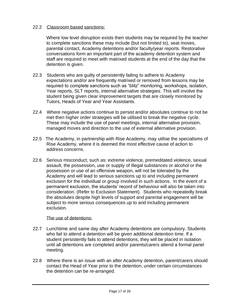#### 22.2 Classroom based sanctions:

Where low level disruption exists then students may be required by the teacher to complete sanctions these may include (but not limited to), seat moves, parental contact, Academy detentions and/or faculty/year reports. Restorative conversations form an important part of the academy detention system and staff are required to meet with matrixed students at the end of the day that the detention is given.

- 22.3 Students who are guilty of persistently failing to adhere to Academy expectations and/or are frequently matrixed or removed from lessons may be required to complete sanctions such as "blitz" monitoring, workshops, isolation, Year reports, SLT reports, internal alternative strategies. This will involve the student being given clear improvement targets that are closely monitored by Tutors, Heads of Year and Year Assistants.
- 22.4 Where negative actions continue to persist and/or absolutes continue to not be met then higher order strategies will be utilised to break the negative cycle. These may include the use of panel meetings, internal alternative provision, managed moves and direction to the use of external alternative provision.
- 22.5 The Academy, in partnership with Rise Academy, may utilise the specialisms of Rise Academy, where it is deemed the most effective cause of action to address concerns.
- 22.6 Serious misconduct, such as: extreme violence, premeditated violence, sexual assault, the possession, use or supply of illegal substances or alcohol or the possession or use of an offensive weapon, will not be tolerated by the Academy and will lead to serious sanctions up to and including permanent exclusion for the individual or group involved in such actions. In the event of a permanent exclusion, the students' record of behaviour will also be taken into consideration. (Refer to Exclusion Statement). Students who repeatedly break the absolutes despite high levels of support and parental engagement will be subject to more serious consequences up to and including permanent exclusion.

#### The use of detentions:

- 22.7 Lunchtime and same day after Academy detentions are compulsory. Students who fail to attend a detention will be given additional detention time. If a student persistently fails to attend detentions, they will be placed in isolation until all detentions are completed and/or parents/carers attend a formal panel meeting.
- 22.8 Where there is an issue with an after Academy detention, parent/carers should contact the Head of Year prior to the detention, under certain circumstances the detention can be re-arranged.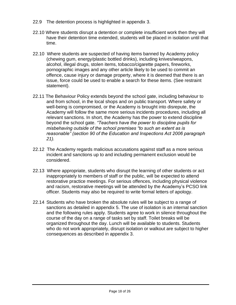- 22.9 The detention process is highlighted in appendix 3.
- 22.10 Where students disrupt a detention or complete insufficient work then they will have their detention time extended, students will be placed in isolation until that time.
- 22.10 Where students are suspected of having items banned by Academy policy (chewing gum, energy/plastic bottled drinks), including knives/weapons, alcohol, illegal drugs, stolen items, tobacco/cigarette papers, fireworks, pornographic images and any other article likely to be used to commit an offence, cause injury or damage property, where it is deemed that there is an issue, force could be used to enable a search for these items. (See restraint statement).
- 22.11 The Behaviour Policy extends beyond the school gate, including behaviour to and from school, in the local shops and on public transport. Where safety or well-being is compromised, or the Academy is brought into disrepute, the Academy will follow the same more serious incidents procedures, including all relevant sanctions. In short, the Academy has the power to extend discipline beyond the school gate. *"Teachers have the power to discipline pupils for misbehaving outside of the school premises "to such an extent as is reasonable" (section 90 of the Education and Inspections Act 2006 paragraph 21).*
- 22.12 The Academy regards malicious accusations against staff as a more serious incident and sanctions up to and including permanent exclusion would be considered.
- 22.13 Where appropriate, students who disrupt the learning of other students or act inappropriately to members of staff or the public, will be expected to attend restorative practice meetings. For serious offences, including physical violence and racism, restorative meetings will be attended by the Academy's PCSO link officer. Students may also be required to write formal letters of apology.
- 22.14 Students who have broken the absolute rules will be subject to a range of sanctions as detailed in appendix 5. The use of isolation is an internal sanction and the following rules apply. Students agree to work in silence throughout the course of the day on a range of tasks set by staff. Toilet breaks will be organized throughout the day. Lunch will be available to students. Students who do not work appropriately, disrupt isolation or walkout are subject to higher consequences as described in appendix 3.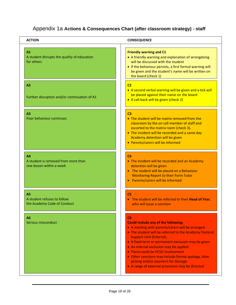### Appendix 1a **Actions & Consequences Chart (after classroom strategy) - staff**

| <b>ACTION</b>                                                         | <b>CONSEQUENCE</b>                                                                                                                                                                                                                                                                                                                                                                                                                                                                                 |
|-----------------------------------------------------------------------|----------------------------------------------------------------------------------------------------------------------------------------------------------------------------------------------------------------------------------------------------------------------------------------------------------------------------------------------------------------------------------------------------------------------------------------------------------------------------------------------------|
| A1<br>A student disrupts the quality of education<br>for others       | <b>Friendly warning and C1</b><br>• A friendly warning and explanation of wrongdoing<br>will be discussed with the student<br>• If the behaviour persists, a first formal warning will<br>be given and the student's name will be written on<br>the board (check 1)                                                                                                                                                                                                                                |
| A2<br>Further disruption and/or continuation of A1                    | C <sub>2</sub><br>• A second verbal warning will be given and a tick will<br>be placed against their name on the board<br>• A call-back will be given (check 2)                                                                                                                                                                                                                                                                                                                                    |
| A <sub>3</sub><br>Poor behaviour continues                            | C <sub>3</sub><br>• The student will be matrix removed from the<br>classroom by the on call member of staff and<br>escorted to the matrix room (check 3).<br>• The incident will be recorded and a same day<br>Academy detention will be given<br>• Parents/carers will be informed                                                                                                                                                                                                                |
| AA<br>A student is removed from more than<br>one lesson within a week | C <sub>4</sub><br>• The incident will be recorded and an Academy<br>detention will be given<br>• The student will be placed on a Behaviour<br>Monitoring Report to their Form Tutor<br>• Parents/carers will be informed                                                                                                                                                                                                                                                                           |
| A5<br>A student refuses to follow<br>the Academy Code of Conduct      | C5<br>• The student will be referred to their Head of Year,<br>who will issue a sanction                                                                                                                                                                                                                                                                                                                                                                                                           |
| A6<br>Serious misconduct                                              | C <sub>6</sub><br><b>Could include any of the following;</b><br>• A meeting with parents/carers will be arranged<br>• The student will be referred to the Academy Pastoral<br><b>Support Unit (Internal)</b><br>• A fixed term or permanent exclusion may be given<br>• An internal exclusion may be applied<br>• There could be PCSO involvement<br>• Other sanctions may include formal apology, litter<br>picking and/or payment for damage<br>• A range of external provisions may be directed |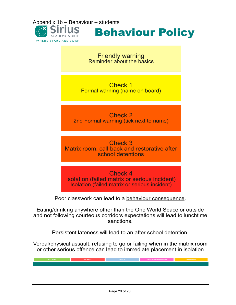

**Behaviour Policy** 

**Friendly warning**<br>Reminder about the basics

Check 1 Formal warning (name on board)

Check 2 2nd Formal warning (tick next to name)

Check 3 Matrix room, call back and restorative after school detentions

Check 4 Isolation (failed matrix or serious incident) Isolation (failed matrix or serious incident)

Poor classwork can lead to a behaviour consequence.

Eating/drinking anywhere other than the One World Space or outside and not following courteous corridors expectations will lead to lunchtime sanctions.

Persistent lateness will lead to an after school detention.

Verbal/physical assault, refusing to go or failing when in the matrix room or other serious offence can lead to immediate placement in isolation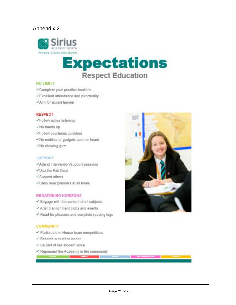#### Appendix 2



# **Expectations Respect Education**

#### **NO LIMITS**

- Complete your practice booklets
- Excellent attendance and punctuality
- √Aim for expert learner

#### **RESPECT**

- <Follow active listening
- VNo hands up
- <Follow courteous corridors
- «No mobiles or gadgets seen or heard
- VNo chewing gum

#### **SUPPORT**

- √Attend intervention/support sessions
- VUse the Fair Deal
- Support others
- Carry your planners at all times

#### **BROADENING HORIZONS**

- ✔ Engage with the content of all subjects
- V Attend enrichment clubs and events
- Pead for pleasure and complete reading logs

#### **COMMUNITY**

- Participate in House team competitions
- V Become a student leader
- ← Be part of our student voice

**MOTHER COMPANY** 

Represent the Academy in the community

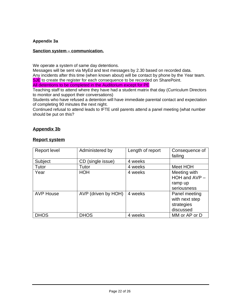#### **Appendix 3a**

#### **Sanction system – communication.**

We operate a system of same day detentions.

Messages will be sent via MyEd and text messages by 2.30 based on recorded data. Any incidents after this time (when known about) will be contact by phone by the Year team. **SJE** to create the register for each consequence to be recorded on SharePoint.

All detentions to be completed in the Auditorium except for PE

Teaching staff to attend where they have had a student matrix that day (Curriculum Directors to monitor and support their conversations)

Students who have refused a detention will have immediate parental contact and expectation of completing 90 minutes the next night.

Continued refusal to attend leads to IFTE until parents attend a panel meeting (what number should be put on this?

#### **Appendix 3b**

#### **Report system**

| <b>Report level</b> | Administered by     | Length of report | Consequence of<br>failing                                  |
|---------------------|---------------------|------------------|------------------------------------------------------------|
| Subject             | CD (single issue)   | 4 weeks          |                                                            |
| Tutor               | Tutor               | 4 weeks          | Meet HOH                                                   |
| Year                | <b>HOH</b>          | 4 weeks          | Meeting with<br>HOH and AVP -<br>ramp up<br>seriousness    |
| <b>AVP House</b>    | AVP (driven by HOH) | 4 weeks          | Panel meeting<br>with next step<br>strategies<br>discussed |
| <b>DHOS</b>         | <b>DHOS</b>         | 4 weeks          | MM or AP or D                                              |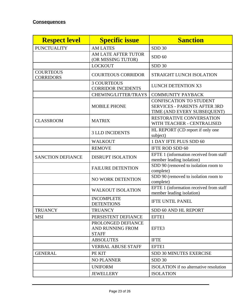| <b>Respect level</b>                 | <b>Specific issue</b>                                         | <b>Sanction</b>                                                                                      |
|--------------------------------------|---------------------------------------------------------------|------------------------------------------------------------------------------------------------------|
| <b>PUNCTUALITY</b>                   | <b>AM LATES</b>                                               | SDD 30                                                                                               |
|                                      | AM LATE AFTER TUTOR<br>(OR MISSING TUTOR)                     | SDD <sub>60</sub>                                                                                    |
|                                      | <b>LOCKOUT</b>                                                | <b>SDD 30</b>                                                                                        |
| <b>COURTEOUS</b><br><b>CORRIDORS</b> | <b>COURTEOUS CORRIDOR</b>                                     | STRAIGHT LUNCH ISOLATION                                                                             |
|                                      | <b>3 COURTEOUS</b><br><b>CORRIDOR INCIDENTS</b>               | <b>LUNCH DETENTION X3</b>                                                                            |
|                                      | CHEWING/LITTER/TRAYS                                          | <b>COMMUNITY PAYBACK</b>                                                                             |
|                                      | <b>MOBILE PHONE</b>                                           | <b>CONFISCATION TO STUDENT</b><br><b>SERVICES - PARENTS AFTER 3RD</b><br>TIME (AND EVERY SUBSEQUENT) |
| <b>CLASSROOM</b>                     | <b>MATRIX</b>                                                 | <b>RESTORATIVE CONVERSATION</b><br>WITH TEACHER - CENTRALISED                                        |
|                                      | <b>3 LLD INCIDENTS</b>                                        | HL REPORT (CD report if only one<br>subject)                                                         |
|                                      | <b>WALKOUT</b>                                                | 1 DAY IFTE PLUS SDD 60                                                                               |
|                                      | <b>REMOVE</b>                                                 | IFTE ROD SDD 60                                                                                      |
| <b>SANCTION DEFIANCE</b>             | <b>DISRUPT ISOLATION</b>                                      | EFTE 1 (information received from staff<br>member leading isolation)                                 |
|                                      | <b>FAILURE DETENTION</b>                                      | SDD 90 (removed to isolation room to<br>complete)                                                    |
|                                      | NO WORK DETENTION                                             | SDD 90 (removed to isolation room to<br>complete)                                                    |
|                                      | <b>WALKOUT ISOLATION</b>                                      | EFTE 1 (information received from staff<br>member leading isolation)                                 |
|                                      | <b>INCOMPLETE</b><br><b>DETENTIONS</b>                        | <b>IFTE UNTIL PANEL</b>                                                                              |
| <b>TRUANCY</b>                       | <b>TRUANCY</b>                                                | SDD 60 AND HL REPORT                                                                                 |
| <b>MSI</b>                           | PERSISTENT DEFIANCE                                           | EFTE1                                                                                                |
|                                      | PROLONGED DEFIANCE<br><b>AND RUNNING FROM</b><br><b>STAFF</b> | EFTE3                                                                                                |
|                                      | <b>ABSOLUTES</b>                                              | <b>IFTE</b>                                                                                          |
|                                      | <b>VERBAL ABUSE STAFF</b>                                     | <b>EFTE1</b>                                                                                         |
| <b>GENERAL</b>                       | PE KIT                                                        | SDD 30 MINUTES EXERCISE                                                                              |
|                                      | <b>NO PLANNER</b>                                             | SDD 30                                                                                               |
|                                      | <b>UNIFORM</b>                                                | <b>ISOLATION</b> if no alternative resolution                                                        |
|                                      | <b>JEWELLERY</b>                                              | <b>ISOLATION</b>                                                                                     |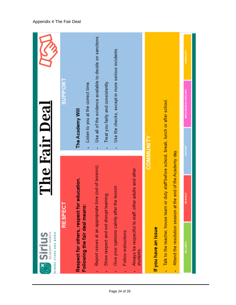

#### Appendix 4 The Fair Deal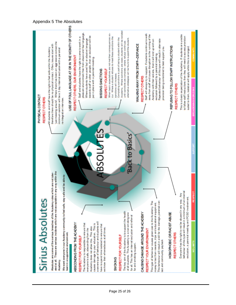### Appendix 5 The Absolutes

![](_page_24_Figure_1.jpeg)